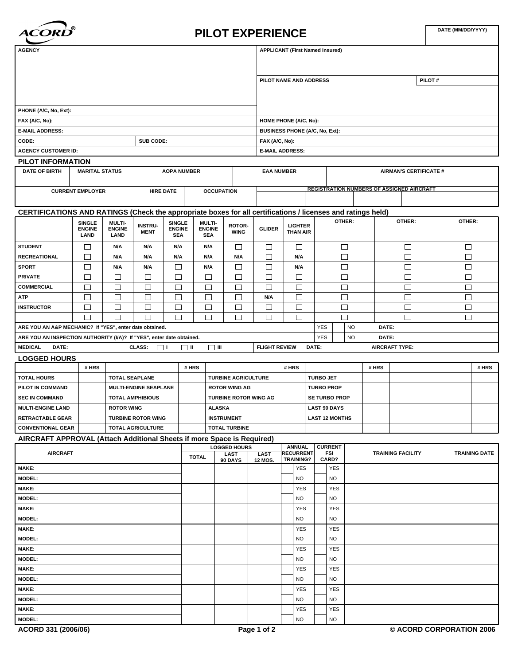

## **PILOT EXPERIENCE**

| <b>AGENCY</b>                                                                                               |                                                       |                       |                               |                             |                             |                              |                        |                                                                | <b>APPLICANT (First Named Insured)</b> |                      |                                                  |                               |       |                          |  |        |                      |
|-------------------------------------------------------------------------------------------------------------|-------------------------------------------------------|-----------------------|-------------------------------|-----------------------------|-----------------------------|------------------------------|------------------------|----------------------------------------------------------------|----------------------------------------|----------------------|--------------------------------------------------|-------------------------------|-------|--------------------------|--|--------|----------------------|
|                                                                                                             |                                                       |                       |                               |                             |                             |                              |                        | PILOT NAME AND ADDRESS<br>PILOT#                               |                                        |                      |                                                  |                               |       |                          |  |        |                      |
|                                                                                                             |                                                       |                       |                               |                             |                             |                              |                        |                                                                |                                        |                      |                                                  |                               |       |                          |  |        |                      |
| PHONE (A/C, No, Ext):                                                                                       |                                                       |                       |                               |                             |                             |                              |                        |                                                                |                                        |                      |                                                  |                               |       |                          |  |        |                      |
| FAX (A/C, No):                                                                                              |                                                       |                       |                               |                             |                             |                              |                        |                                                                |                                        |                      |                                                  |                               |       |                          |  |        |                      |
| <b>E-MAIL ADDRESS:</b>                                                                                      |                                                       |                       |                               |                             |                             |                              |                        | HOME PHONE (A/C, No):<br><b>BUSINESS PHONE (A/C, No, Ext):</b> |                                        |                      |                                                  |                               |       |                          |  |        |                      |
| CODE:                                                                                                       |                                                       |                       | SUB CODE:                     |                             |                             |                              | FAX (A/C, No):         |                                                                |                                        |                      |                                                  |                               |       |                          |  |        |                      |
| <b>AGENCY CUSTOMER ID:</b>                                                                                  |                                                       |                       |                               |                             |                             |                              | <b>E-MAIL ADDRESS:</b> |                                                                |                                        |                      |                                                  |                               |       |                          |  |        |                      |
| PILOT INFORMATION                                                                                           |                                                       |                       |                               |                             |                             |                              |                        |                                                                |                                        |                      |                                                  |                               |       |                          |  |        |                      |
| <b>DATE OF BIRTH</b>                                                                                        | <b>MARITAL STATUS</b><br><b>AOPA NUMBER</b>           |                       |                               |                             |                             |                              |                        | <b>EAA NUMBER</b>                                              |                                        |                      |                                                  | <b>AIRMAN'S CERTIFICATE #</b> |       |                          |  |        |                      |
|                                                                                                             | <b>CURRENT EMPLOYER</b>                               |                       | <b>HIRE DATE</b>              |                             | <b>OCCUPATION</b>           |                              |                        |                                                                |                                        |                      | <b>REGISTRATION NUMBERS OF ASSIGNED AIRCRAFT</b> |                               |       |                          |  |        |                      |
| CERTIFICATIONS AND RATINGS (Check the appropriate boxes for all certifications / licenses and ratings held) |                                                       |                       |                               |                             |                             |                              |                        |                                                                |                                        |                      |                                                  |                               |       |                          |  |        |                      |
|                                                                                                             | <b>SINGLE</b>                                         | <b>MULTI-</b>         |                               | SINGLE                      | <b>MULTI-</b>               |                              |                        |                                                                |                                        |                      | OTHER:                                           |                               |       | OTHER:                   |  | OTHER: |                      |
|                                                                                                             | <b>ENGINE</b><br>LAND                                 | <b>ENGINE</b><br>LAND | <b>INSTRU-</b><br><b>MENT</b> | <b>ENGINE</b><br><b>SEA</b> | <b>ENGINE</b><br><b>SEA</b> | ROTOR-<br><b>WING</b>        | <b>GLIDER</b>          |                                                                | <b>LIGHTER</b><br><b>THAN AIR</b>      |                      |                                                  |                               |       |                          |  |        |                      |
| <b>STUDENT</b>                                                                                              | □                                                     | N/A                   | N/A                           | N/A                         | N/A                         | $\Box$                       | □                      |                                                                | □                                      |                      | $\Box$                                           |                               |       | $\Box$                   |  | $\Box$ |                      |
| <b>RECREATIONAL</b>                                                                                         | □                                                     | N/A                   | N/A                           | N/A                         | N/A                         | N/A                          | □                      |                                                                | N/A                                    |                      | $\Box$                                           |                               |       | $\Box$                   |  | $\Box$ |                      |
| <b>SPORT</b>                                                                                                | □                                                     | N/A                   | N/A                           | □                           | N/A                         | $\Box$                       | □                      |                                                                | N/A                                    |                      | $\Box$                                           |                               |       | $\Box$                   |  | $\Box$ |                      |
| <b>PRIVATE</b>                                                                                              | □                                                     | □                     | □                             | $\Box$                      | □                           | $\Box$                       | $\Box$                 |                                                                | $\Box$                                 |                      | $\Box$                                           |                               |       | $\Box$                   |  | $\Box$ |                      |
| <b>COMMERCIAL</b>                                                                                           | □                                                     | □                     | □                             | $\Box$                      | □                           | $\Box$                       | □                      |                                                                | $\Box$                                 |                      | $\Box$                                           |                               |       | $\Box$                   |  | $\Box$ |                      |
| <b>ATP</b>                                                                                                  | □                                                     | □                     | □                             | □                           | □                           | $\Box$                       | N/A                    |                                                                | $\Box$                                 |                      | $\Box$                                           |                               |       | $\Box$                   |  | $\Box$ |                      |
| <b>INSTRUCTOR</b>                                                                                           | □                                                     | □                     | □                             | □                           | □                           | $\Box$                       | □                      |                                                                | $\Box$                                 |                      | $\Box$                                           |                               |       | $\Box$                   |  | $\Box$ |                      |
|                                                                                                             | □                                                     | □                     | □                             | $\Box$                      | П                           | $\Box$                       | П                      |                                                                | $\Box$                                 |                      | П                                                |                               |       | $\Box$                   |  | $\Box$ |                      |
| ARE YOU AN A&P MECHANIC? If "YES", enter date obtained.                                                     |                                                       |                       |                               |                             |                             |                              |                        |                                                                |                                        | <b>YES</b>           |                                                  | <b>NO</b>                     | DATE: |                          |  |        |                      |
| ARE YOU AN INSPECTION AUTHORITY (I/A)? If "YES", enter date obtained.                                       |                                                       |                       |                               |                             |                             |                              |                        |                                                                |                                        | <b>YES</b>           |                                                  | <b>NO</b>                     | DATE: |                          |  |        |                      |
| <b>MEDICAL</b><br>DATE:                                                                                     |                                                       |                       | CLASS:<br>$\Box$ $\Box$       | $\Box$                      | יי ⊡                        |                              | <b>FLIGHT REVIEW</b>   |                                                                |                                        | DATE:                |                                                  |                               |       | <b>AIRCRAFT TYPE:</b>    |  |        |                      |
| <b>LOGGED HOURS</b>                                                                                         |                                                       |                       |                               |                             |                             |                              |                        |                                                                |                                        |                      |                                                  |                               | # HRS |                          |  |        | # HRS                |
| <b>TOTAL HOURS</b>                                                                                          | # HRS                                                 |                       |                               |                             | # HRS                       | <b>TURBINE AGRICULTURE</b>   |                        | # HRS                                                          |                                        |                      | <b>TURBO JET</b>                                 |                               |       |                          |  |        |                      |
| PILOT IN COMMAND                                                                                            | <b>TOTAL SEAPLANE</b><br><b>MULTI-ENGINE SEAPLANE</b> |                       |                               | <b>ROTOR WING AG</b>        |                             |                              | <b>TURBO PROP</b>      |                                                                |                                        |                      |                                                  |                               |       |                          |  |        |                      |
| <b>SEC IN COMMAND</b>                                                                                       |                                                       |                       | <b>TOTAL AMPHIBIOUS</b>       |                             |                             | <b>TURBINE ROTOR WING AG</b> |                        |                                                                |                                        | <b>SE TURBO PROP</b> |                                                  |                               |       |                          |  |        |                      |
| <b>MULTI-ENGINE LAND</b>                                                                                    |                                                       | <b>ROTOR WING</b>     |                               |                             | <b>ALASKA</b>               |                              |                        |                                                                | <b>LAST 90 DAYS</b>                    |                      |                                                  |                               |       |                          |  |        |                      |
| <b>RETRACTABLE GEAR</b>                                                                                     |                                                       |                       | <b>TURBINE ROTOR WING</b>     |                             | <b>INSTRUMENT</b>           |                              |                        |                                                                | <b>LAST 12 MONTHS</b>                  |                      |                                                  |                               |       |                          |  |        |                      |
| <b>CONVENTIONAL GEAR</b>                                                                                    |                                                       |                       | TOTAL AGRICULTURE             |                             |                             | <b>TOTAL TURBINE</b>         |                        |                                                                |                                        |                      |                                                  |                               |       |                          |  |        |                      |
| AIRCRAFT APPROVAL (Attach Additional Sheets if more Space is Required)                                      |                                                       |                       |                               |                             |                             |                              |                        |                                                                |                                        |                      |                                                  |                               |       |                          |  |        |                      |
| <b>AIRCRAFT</b>                                                                                             |                                                       |                       |                               |                             |                             | <b>LOGGED HOURS</b>          |                        |                                                                | <b>ANNUAL</b><br><b>RECURRENT</b>      |                      | <b>CURRENT</b><br><b>FSI</b>                     |                               |       |                          |  |        | <b>TRAINING DATE</b> |
|                                                                                                             |                                                       |                       |                               |                             | <b>TOTAL</b>                | LAST<br>90 DAYS              | LAST<br>12 MOS.        |                                                                | <b>TRAINING?</b>                       |                      | CARD?                                            |                               |       | <b>TRAINING FACILITY</b> |  |        |                      |
| <b>MAKE:</b>                                                                                                |                                                       |                       |                               |                             |                             |                              |                        |                                                                | <b>YES</b>                             |                      | <b>YES</b>                                       |                               |       |                          |  |        |                      |
| <b>MODEL:</b>                                                                                               |                                                       |                       |                               |                             |                             |                              |                        |                                                                | <b>NO</b>                              |                      | NO.                                              |                               |       |                          |  |        |                      |
| <b>MAKE:</b>                                                                                                |                                                       |                       |                               |                             |                             |                              |                        |                                                                | <b>YES</b>                             |                      | <b>YES</b>                                       |                               |       |                          |  |        |                      |
| <b>MODEL:</b>                                                                                               |                                                       |                       |                               |                             |                             |                              |                        |                                                                | <b>NO</b>                              |                      | <b>NO</b>                                        |                               |       |                          |  |        |                      |
| <b>MAKE:</b>                                                                                                |                                                       |                       |                               |                             |                             |                              |                        |                                                                | <b>YES</b>                             |                      | <b>YES</b>                                       |                               |       |                          |  |        |                      |
| <b>MODEL:</b>                                                                                               |                                                       |                       |                               |                             |                             |                              |                        |                                                                | <b>NO</b>                              |                      | NO.                                              |                               |       |                          |  |        |                      |
| <b>MAKE:</b>                                                                                                |                                                       |                       |                               |                             |                             |                              |                        |                                                                | <b>YES</b>                             |                      | <b>YES</b>                                       |                               |       |                          |  |        |                      |
| <b>MODEL:</b><br><b>MAKE:</b>                                                                               |                                                       |                       |                               |                             |                             |                              |                        | <b>NO</b>                                                      |                                        | <b>NO</b>            |                                                  |                               |       |                          |  |        |                      |
| <b>MODEL:</b>                                                                                               |                                                       |                       |                               |                             |                             |                              |                        |                                                                | <b>YES</b><br><b>NO</b>                |                      | <b>YES</b><br><b>NO</b>                          |                               |       |                          |  |        |                      |
| <b>MAKE:</b>                                                                                                |                                                       |                       |                               |                             |                             |                              |                        |                                                                | <b>YES</b>                             |                      | <b>YES</b>                                       |                               |       |                          |  |        |                      |
| <b>MODEL:</b>                                                                                               |                                                       |                       |                               |                             |                             |                              |                        |                                                                | <b>NO</b>                              |                      | <b>NO</b>                                        |                               |       |                          |  |        |                      |
| <b>MAKE:</b>                                                                                                |                                                       |                       |                               |                             |                             |                              |                        |                                                                | <b>YES</b>                             |                      | <b>YES</b>                                       |                               |       |                          |  |        |                      |
| <b>MODEL:</b>                                                                                               |                                                       |                       |                               |                             |                             |                              |                        |                                                                | <b>NO</b>                              |                      | NO.                                              |                               |       |                          |  |        |                      |
| MAKE:                                                                                                       |                                                       |                       |                               |                             |                             |                              |                        |                                                                | <b>YES</b>                             |                      | <b>YES</b>                                       |                               |       |                          |  |        |                      |
| <b>MODEL:</b>                                                                                               |                                                       |                       |                               |                             |                             |                              |                        |                                                                | <b>NO</b>                              |                      | <b>NO</b>                                        |                               |       |                          |  |        |                      |
|                                                                                                             |                                                       |                       |                               |                             |                             |                              |                        |                                                                |                                        |                      |                                                  |                               |       |                          |  |        |                      |